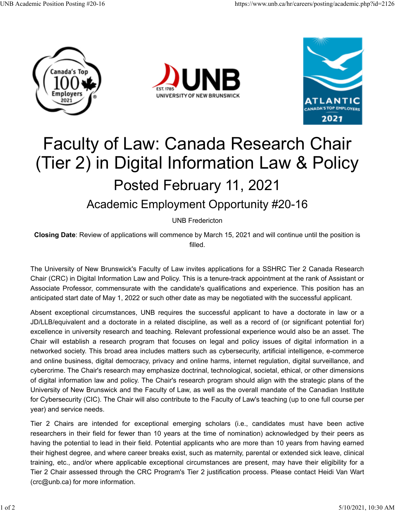





## Faculty of Law: Canada Research Chair (Tier 2) in Digital Information Law & Policy Posted February 11, 2021 Academic Employment Opportunity #20-16

UNB Fredericton

**Closing Date**: Review of applications will commence by March 15, 2021 and will continue until the position is filled.

The University of New Brunswick's Faculty of Law invites applications for a SSHRC Tier 2 Canada Research Chair (CRC) in Digital Information Law and Policy. This is a tenure-track appointment at the rank of Assistant or Associate Professor, commensurate with the candidate's qualifications and experience. This position has an anticipated start date of May 1, 2022 or such other date as may be negotiated with the successful applicant.

Absent exceptional circumstances, UNB requires the successful applicant to have a doctorate in law or a JD/LLB/equivalent and a doctorate in a related discipline, as well as a record of (or significant potential for) excellence in university research and teaching. Relevant professional experience would also be an asset. The Chair will establish a research program that focuses on legal and policy issues of digital information in a networked society. This broad area includes matters such as cybersecurity, artificial intelligence, e-commerce and online business, digital democracy, privacy and online harms, internet regulation, digital surveillance, and cybercrime. The Chair's research may emphasize doctrinal, technological, societal, ethical, or other dimensions of digital information law and policy. The Chair's research program should align with the strategic plans of the University of New Brunswick and the Faculty of Law, as well as the overall mandate of the Canadian Institute for Cybersecurity (CIC). The Chair will also contribute to the Faculty of Law's teaching (up to one full course per year) and service needs.

Tier 2 Chairs are intended for exceptional emerging scholars (i.e., candidates must have been active researchers in their field for fewer than 10 years at the time of nomination) acknowledged by their peers as having the potential to lead in their field. Potential applicants who are more than 10 years from having earned their highest degree, and where career breaks exist, such as maternity, parental or extended sick leave, clinical training, etc., and/or where applicable exceptional circumstances are present, may have their eligibility for a Tier 2 Chair assessed through the CRC Program's Tier 2 justification process. Please contact Heidi Van Wart (crc@unb.ca) for more information.